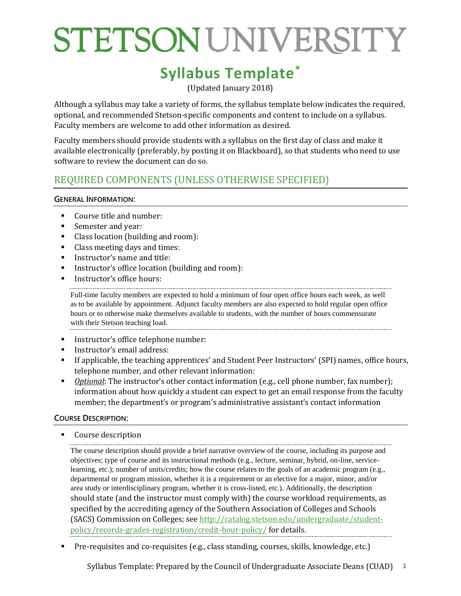### **Syllabus Template\***

(Updated January 2018)

Although a syllabus may take a variety of forms, the syllabus template below indicates the required, optional, and recommended Stetson-specific components and content to include on a syllabus. Faculty members are welcome to add other information as desired.

Faculty members should provide students with a syllabus on the first day of class and make it available electronically (preferably, by posting it on Blackboard), so that students who need to use software to review the document can do so.

### REQUIRED COMPONENTS (UNLESS OTHERWISE SPECIFIED)

#### **GENERAL INFORMATION:**

- Course title and number:
- Semester and year:
- Class location (building and room):
- Class meeting days and times:
- **Instructor's name and title:**
- Instructor's office location (building and room):
- Instructor's office hours:

Full-time faculty members are expected to hold a minimum of four open office hours each week, as well as to be available by appointment. Adjunct faculty members are also expected to hold regular open office hours or to otherwise make themselves available to students, with the number of hours commensurate with their Stetson teaching load.

- **Instructor's office telephone number:**
- Instructor's email address:
- If applicable, the teaching apprentices' and Student Peer Instructors' (SPI) names, office hours, telephone number, and other relevant information:
- **Dianual:** The instructor's other contact information (e.g., cell phone number, fax number); information about how quickly a student can expect to get an email response from the faculty member; the department's or program's administrative assistant's contact information

#### **COURSE DESCRIPTION:**

■ Course description

The course description should provide a brief narrative overview of the course, including its purpose and objectives; type of course and its instructional methods (e.g., lecture, seminar, hybrid, on-line, servicelearning, etc.); number of units/credits; how the course relates to the goals of an academic program (e.g., departmental or program mission, whether it is a requirement or an elective for a major, minor, and/or area study or interdisciplinary program, whether it is cross-listed, etc.). Additionally, the description should state (and the instructor must comply with) the course workload requirements, as specified by the accrediting agency of the Southern Association of Colleges and Schools (SACS) Commission on Colleges; see [http://catalog.stetson.edu/undergraduate/student](http://catalog.stetson.edu/undergraduate/student-policy/records-grades-registration/credit-hour-policy/)[policy/records-grades-registration/credit-hour-policy/](http://catalog.stetson.edu/undergraduate/student-policy/records-grades-registration/credit-hour-policy/) for details.

Pre-requisites and co-requisites (e.g., class standing, courses, skills, knowledge, etc.)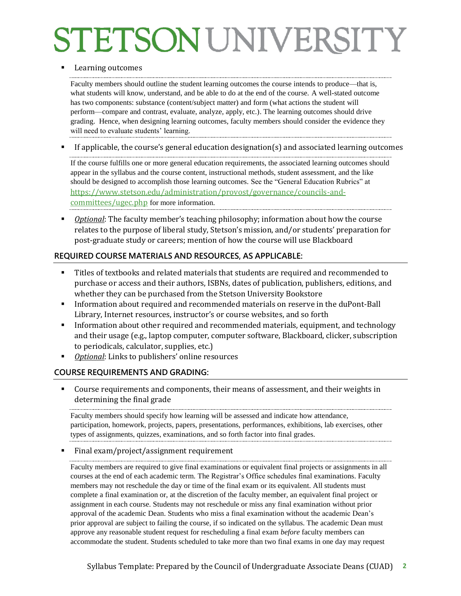#### Learning outcomes

Faculty members should outline the student learning outcomes the course intends to produce—that is, what students will know, understand, and be able to do at the end of the course. A well-stated outcome has two components: substance (content/subject matter) and form (what actions the student will perform—compare and contrast, evaluate, analyze, apply, etc.). The learning outcomes should drive grading. Hence, when designing learning outcomes, faculty members should consider the evidence they will need to evaluate students' learning.

If applicable, the course's general education designation(s) and associated learning outcomes

If the course fulfills one or more general education requirements, the associated learning outcomes should appear in the syllabus and the course content, instructional methods, student assessment, and the like should be designed to accomplish those learning outcomes. See the "General Education Rubrics" at https://www.stetson.edu/administration/provost/governance/councils-andcommittees/ugec.php for more information.

**Dharto 1**: The faculty member's teaching philosophy; information about how the course relates to the purpose of liberal study, Stetson's mission, and/or students' preparation for post-graduate study or careers; mention of how the course will use Blackboard

#### **REQUIRED COURSE MATERIALS AND RESOURCES, AS APPLICABLE:**

- Titles of textbooks and related materials that students are required and recommended to purchase or access and their authors, ISBNs, dates of publication, publishers, editions, and whether they can be purchased from the Stetson University Bookstore
- Information about required and recommended materials on reserve in the duPont-Ball Library, Internet resources, instructor's or course websites, and so forth
- Information about other required and recommended materials, equipment, and technology and their usage (e.g., laptop computer, computer software, Blackboard, clicker, subscription to periodicals, calculator, supplies, etc.)
- *Optional*: Links to publishers' online resources

#### **COURSE REQUIREMENTS AND GRADING:**

 Course requirements and components, their means of assessment, and their weights in determining the final grade

Faculty members should specify how learning will be assessed and indicate how attendance, participation, homework, projects, papers, presentations, performances, exhibitions, lab exercises, other types of assignments, quizzes, examinations, and so forth factor into final grades.

Final exam/project/assignment requirement

Faculty members are required to give final examinations or equivalent final projects or assignments in all courses at the end of each academic term. The Registrar's Office schedules final examinations. Faculty members may not reschedule the day or time of the final exam or its equivalent. All students must complete a final examination or, at the discretion of the faculty member, an equivalent final project or assignment in each course. Students may not reschedule or miss any final examination without prior approval of the academic Dean. Students who miss a final examination without the academic Dean's prior approval are subject to failing the course, if so indicated on the syllabus. The academic Dean must approve any reasonable student request for rescheduling a final exam *before* faculty members can accommodate the student. Students scheduled to take more than two final exams in one day may request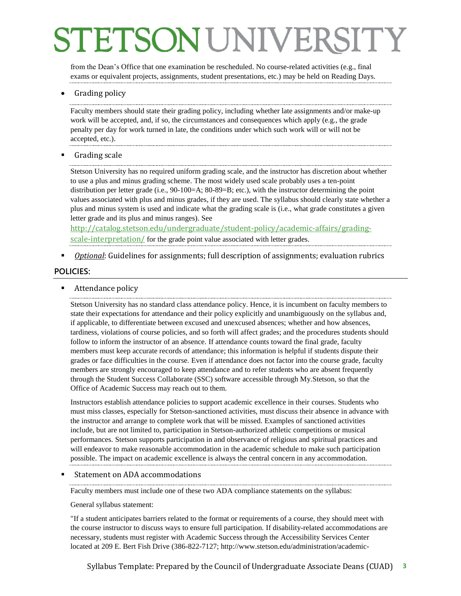from the Dean's Office that one examination be rescheduled. No course-related activities (e.g., final exams or equivalent projects, assignments, student presentations, etc.) may be held on Reading Days.

Grading policy

Faculty members should state their grading policy, including whether late assignments and/or make-up work will be accepted, and, if so, the circumstances and consequences which apply (e.g., the grade penalty per day for work turned in late, the conditions under which such work will or will not be accepted, etc.).

Grading scale

Stetson University has no required uniform grading scale, and the instructor has discretion about whether to use a plus and minus grading scheme. The most widely used scale probably uses a ten-point distribution per letter grade (i.e., 90-100=A; 80-89=B; etc.), with the instructor determining the point values associated with plus and minus grades, if they are used. The syllabus should clearly state whether a plus and minus system is used and indicate what the grading scale is (i.e., what grade constitutes a given letter grade and its plus and minus ranges). See

[http://catalog.stetson.edu/undergraduate/student-policy/academic-affairs/grading](http://catalog.stetson.edu/undergraduate/student-policy/academic-affairs/grading-scale-interpretation/)[scale-interpretation/](http://catalog.stetson.edu/undergraduate/student-policy/academic-affairs/grading-scale-interpretation/) for the grade point value associated with letter grades.

*Optional*: Guidelines for assignments; full description of assignments; evaluation rubrics

#### **POLICIES:**

Attendance policy

Stetson University has no standard class attendance policy. Hence, it is incumbent on faculty members to state their expectations for attendance and their policy explicitly and unambiguously on the syllabus and, if applicable, to differentiate between excused and unexcused absences; whether and how absences, tardiness, violations of course policies, and so forth will affect grades; and the procedures students should follow to inform the instructor of an absence. If attendance counts toward the final grade, faculty members must keep accurate records of attendance; this information is helpful if students dispute their grades or face difficulties in the course. Even if attendance does not factor into the course grade, faculty members are strongly encouraged to keep attendance and to refer students who are absent frequently through the Student Success Collaborate (SSC) software accessible through My.Stetson, so that the Office of Academic Success may reach out to them.

Instructors establish attendance policies to support academic excellence in their courses. Students who must miss classes, especially for Stetson-sanctioned activities, must discuss their absence in advance with the instructor and arrange to complete work that will be missed. Examples of sanctioned activities include, but are not limited to, participation in Stetson-authorized athletic competitions or musical performances. Stetson supports participation in and observance of religious and spiritual practices and will endeavor to make reasonable accommodation in the academic schedule to make such participation possible. The impact on academic excellence is always the central concern in any accommodation.

#### Statement on ADA accommodations

Faculty members must include one of these two ADA compliance statements on the syllabus:

General syllabus statement:

"If a student anticipates barriers related to the format or requirements of a course, they should meet with the course instructor to discuss ways to ensure full participation. If disability-related accommodations are necessary, students must register with Academic Success through the Accessibility Services Center located at 209 E. Bert Fish Drive (386-822-7127; [http://www.stetson.edu/administration/academic-](http://www.stetson.edu/administration/academic-success/)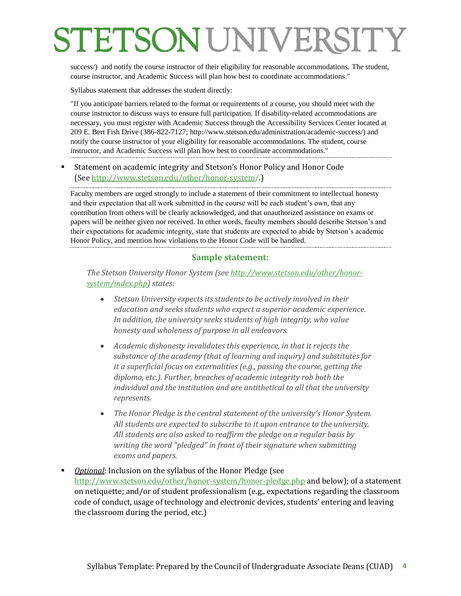[success/\)](http://www.stetson.edu/administration/academic-success/) and notify the course instructor of their eligibility for reasonable accommodations. The student, course instructor, and Academic Success will plan how best to coordinate accommodations."

Syllabus statement that addresses the student directly:

"If you anticipate barriers related to the format or requirements of a course, you should meet with the course instructor to discuss ways to ensure full participation. If disability-related accommodations are necessary, you must register with Academic Success through the Accessibility Services Center located at 209 E. Bert Fish Drive (386-822-7127; [http://www.stetson.edu/administration/academic-success/\)](http://www.stetson.edu/administration/academic-success/) and notify the course instructor of your eligibility for reasonable accommodations. The student, course instructor, and Academic Success will plan how best to coordinate accommodations."

#### Statement on academic integrity and Stetson's Honor Policy and Honor Code (See<http://www.stetson.edu/other/honor-system/>.)

Faculty members are urged strongly to include a statement of their commitment to intellectual honesty and their expectation that all work submitted in the course will be each student's own, that any contribution from others will be clearly acknowledged, and that unauthorized assistance on exams or papers will be neither given nor received. In other words, faculty members should describe Stetson's and their expectations for academic integrity, state that students are expected to abide by Stetson's academic Honor Policy, and mention how violations to the Honor Code will be handled.

#### **Sample statement:**

*The Stetson University Honor System (see [http://www.stetson.edu/other/honor](http://www.stetson.edu/other/honor-system/index.php)[system/index.php\)](http://www.stetson.edu/other/honor-system/index.php) states:* 

- *Stetson University expects its students to be actively involved in their education and seeks students who expect a superior academic experience. In addition, the university seeks students of high integrity, who value honesty and wholeness of purpose in all endeavors.*
- *Academic dishonesty invalidates this experience, in that it rejects the substance of the academy (that of learning and inquiry) and substitutes for it a superficial focus on externalities (e.g., passing the course, getting the diploma, etc.). Further, breaches of academic integrity rob both the individual and the institution and are antithetical to all that the university represents.*
- *The [Honor Pledge](http://www.stetson.edu/other/honor-system/honor-pledge.php) is the central statement of the university's Honor System. All students are expected to subscribe to it upon entrance to the university. All students are also asked to reaffirm the pledge on a regular basis by writing the word "pledged" in front of their signature when submitting exams and papers.*

#### *Optional*: Inclusion on the syllabus of the Honor Pledge (see <http://www.stetson.edu/other/honor-system/honor-pledge.php> and below); of a statement on netiquette; and/or of student professionalism (e.g., expectations regarding the classroom code of conduct, usage of technology and electronic devices, students' entering and leaving the classroom during the period, etc.)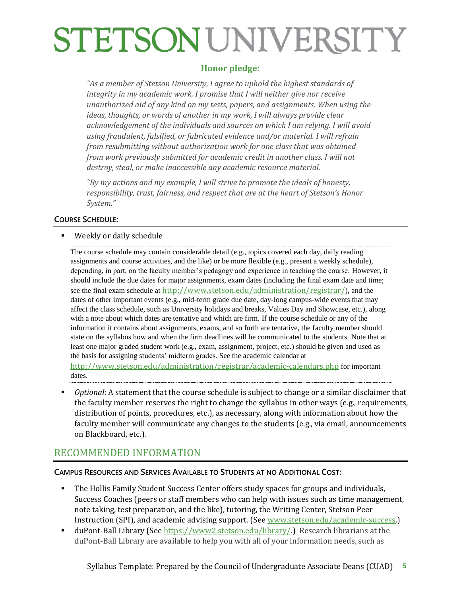### **Honor pledge:**

*"As a member of Stetson University, I agree to uphold the highest standards of integrity in my academic work. I promise that I will neither give nor receive unauthorized aid of any kind on my tests, papers, and assignments. When using the ideas, thoughts, or words of another in my work, I will always provide clear acknowledgement of the individuals and sources on which I am relying. I will avoid using fraudulent, falsified, or fabricated evidence and/or material. I will refrain from resubmitting without authorization work for one class that was obtained from work previously submitted for academic credit in another class. I will not destroy, steal, or make inaccessible any academic resource material.*

*"By my actions and my example, I will strive to promote the ideals of honesty, responsibility, trust, fairness, and respect that are at the heart of Stetson's Honor System."*

#### **COURSE SCHEDULE:**

Weekly or daily schedule

The course schedule may contain considerable detail (e.g., topics covered each day, daily reading assignments and course activities, and the like) or be more flexible (e.g., present a weekly schedule), depending, in part, on the faculty member's pedagogy and experience in teaching the course. However, it should include the due dates for major assignments, exam dates (including the final exam date and time; see the final exam schedule at <http://www.stetson.edu/administration/registrar/>), and the dates of other important events (e.g., mid-term grade due date, day-long campus-wide events that may affect the class schedule, such as University holidays and breaks, Values Day and Showcase, etc.), along with a note about which dates are tentative and which are firm. If the course schedule or any of the information it contains about assignments, exams, and so forth are tentative, the faculty member should state on the syllabus how and when the firm deadlines will be communicated to the students. Note that at least one major graded student work (e.g., exam, assignment, project, etc.) should be given and used as the basis for assigning students' midterm grades. See the academic calendar at <http://www.stetson.edu/administration/registrar/academic-calendars.php> for important dates.

 *Optional*: A statement that the course schedule is subject to change or a similar disclaimer that the faculty member reserves the right to change the syllabus in other ways (e.g., requirements, distribution of points, procedures, etc.), as necessary, along with information about how the faculty member will communicate any changes to the students (e.g., via email, announcements on Blackboard, etc.).

### RECOMMENDED INFORMATION

#### **CAMPUS RESOURCES AND SERVICES AVAILABLE TO STUDENTS AT NO ADDITIONAL COST:**

- The Hollis Family Student Success Center offers study spaces for groups and individuals, Success Coaches (peers or staff members who can help with issues such as time management, note taking, test preparation, and the like), tutoring, the Writing Center, Stetson Peer Instruction (SPI), and academic advising support. (See [www.stetson.edu/academic-success.\)](http://www.stetson.edu/academic-success)
- duPont-Ball Library (See [https://www2.stetson.edu/library/.\)](https://www2.stetson.edu/library/) Research librarians at the duPont-Ball Library are available to help you with all of your information needs, such as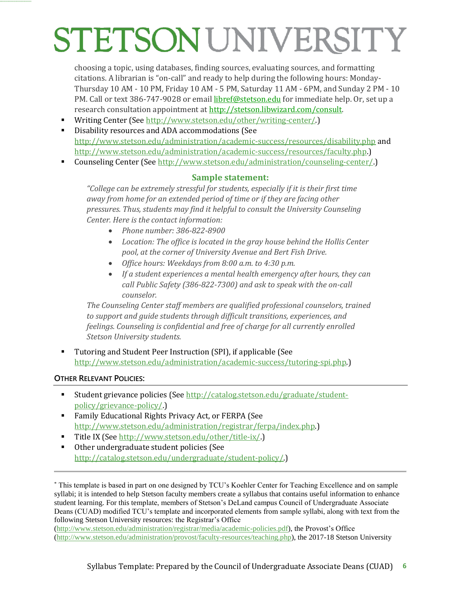choosing a topic, using databases, finding sources, evaluating sources, and formatting citations. A librarian is "on-call" and ready to help during the following hours: Monday-Thursday 10 AM - 10 PM, Friday 10 AM - 5 PM, Saturday 11 AM - 6PM, and Sunday 2 PM - 10 PM. Call or text 386-747-9028 or email [libref@stetson.edu](mailto:libref@stetson.edu) for immediate help. Or, set up a research consultation appointment at [http://stetson.libwizard.com/consult.](http://stetson.libwizard.com/consult)

- Writing Center (See [http://www.stetson.edu/other/writing-center/.](http://www.stetson.edu/other/writing-center/))
- Disability resources and ADA accommodations (See <http://www.stetson.edu/administration/academic-success/resources/disability.php> and [http://www.stetson.edu/administration/academic-success/resources/faculty.php.\)](http://www.stetson.edu/administration/academic-success/resources/faculty.php)
- Counseling Center (See [http://www.stetson.edu/administration/counseling-center/.](http://www.stetson.edu/administration/counseling-center/))

#### **Sample statement:**

*"College can be extremely stressful for students, especially if it is their first time away from home for an extended period of time or if they are facing other pressures. Thus, students may find it helpful to consult the University Counseling Center. Here is the contact information:* 

- *Phone number: 386-822-8900*
- *Location: The office is located in the gray house behind the Hollis Center pool, at the corner of University Avenue and Bert Fish Drive.*
- *Office hours: Weekdays from 8:00 a.m. to 4:30 p.m.*
- *If a student experiences a mental health emergency after hours, they can call Public Safety (386-822-7300) and ask to speak with the on-call counselor.*

*The Counseling Center staff members are qualified professional counselors, trained to support and guide students through difficult transitions, experiences, and feelings. Counseling is confidential and free of charge for all currently enrolled Stetson University students.*

 Tutoring and Student Peer Instruction (SPI), if applicable (See http://www.stetson.edu/administration/academic-success/tutoring-spi.php.)

#### **OTHER RELEVANT POLICIES:**

**============================**

- Student grievance policies (Se[e http://catalog.stetson.edu/graduate/student](http://catalog.stetson.edu/graduate/student-policy/grievance-policy/)[policy/grievance-policy/.](http://catalog.stetson.edu/graduate/student-policy/grievance-policy/))
- Family Educational Rights Privacy Act, or FERPA (See [http://www.stetson.edu/administration/registrar/ferpa/index.php.\)](http://www.stetson.edu/administration/registrar/ferpa/index.php)
- Title IX (See http://www.stetson.edu/other/title-ix/.)
- Other undergraduate student policies (See [http://catalog.stetson.edu/undergraduate/student-policy/.\)](http://catalog.stetson.edu/undergraduate/student-policy/.))

\* This template is based in part on one designed by TCU's Koehler Center for Teaching Excellence and on sample syllabi; it is intended to help Stetson faculty members create a syllabus that contains useful information to enhance student learning. For this template, members of Stetson's DeLand campus Council of Undergraduate Associate Deans (CUAD) modified TCU's template and incorporated elements from sample syllabi, along with text from the following Stetson University resources: the Registrar's Office

[\(http://www.stetson.edu/administration/registrar/media/academic-policies.pdf\)](http://www.stetson.edu/administration/registrar/media/academic-policies.pdf), the Provost's Office [\(http://www.stetson.edu/administration/provost/faculty-resources/teaching.php\)](http://www.stetson.edu/administration/provost/faculty-resources/teaching.php), the 2017-18 Stetson University